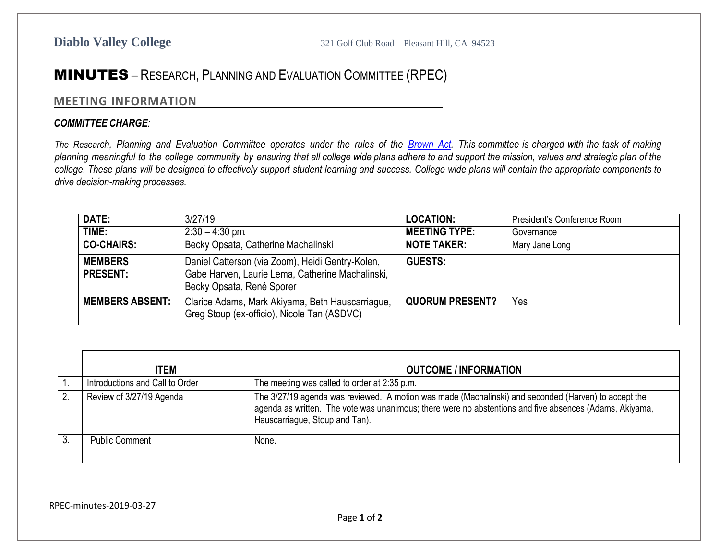## MINUTES – RESEARCH, PLANNING AND EVALUATION COMMITTEE (RPEC)

## **MEETING INFORMATION**

## *COMMITTEE CHARGE:*

The Research, Planning and Evaluation Committee operates under the rules of the [Brown](http://ag.ca.gov/publications/2003_Intro_BrownAct.pdf) Act. This committee is charged with the task of making planning meaningful to the college community by ensuring that all college wide plans adhere to and support the mission, values and strategic plan of the college. These plans will be designed to effectively support student learning and success. College wide plans will contain the appropriate components to *drive decision-making processes.*

| DATE:                             | 3/27/19                                                                                                                           | <b>LOCATION:</b>       | President's Conference Room |
|-----------------------------------|-----------------------------------------------------------------------------------------------------------------------------------|------------------------|-----------------------------|
| TIME:                             | $2:30 - 4:30$ pm.                                                                                                                 | <b>MEETING TYPE:</b>   | Governance                  |
| <b>CO-CHAIRS:</b>                 | Becky Opsata, Catherine Machalinski                                                                                               | <b>NOTE TAKER:</b>     | Mary Jane Long              |
| <b>MEMBERS</b><br><b>PRESENT:</b> | Daniel Catterson (via Zoom), Heidi Gentry-Kolen,<br>Gabe Harven, Laurie Lema, Catherine Machalinski,<br>Becky Opsata, René Sporer | <b>GUESTS:</b>         |                             |
| <b>MEMBERS ABSENT:</b>            | Clarice Adams, Mark Akiyama, Beth Hauscarriague,<br>Greg Stoup (ex-officio), Nicole Tan (ASDVC)                                   | <b>QUORUM PRESENT?</b> | Yes                         |

| <b>ITEM</b>                     | <b>OUTCOME / INFORMATION</b>                                                                                                                                                                                                                      |
|---------------------------------|---------------------------------------------------------------------------------------------------------------------------------------------------------------------------------------------------------------------------------------------------|
| Introductions and Call to Order | The meeting was called to order at 2:35 p.m.                                                                                                                                                                                                      |
| Review of 3/27/19 Agenda        | The 3/27/19 agenda was reviewed. A motion was made (Machalinski) and seconded (Harven) to accept the<br>agenda as written. The vote was unanimous; there were no abstentions and five absences (Adams, Akivama,<br>Hauscarriague, Stoup and Tan). |
| Public Comment                  | None.                                                                                                                                                                                                                                             |